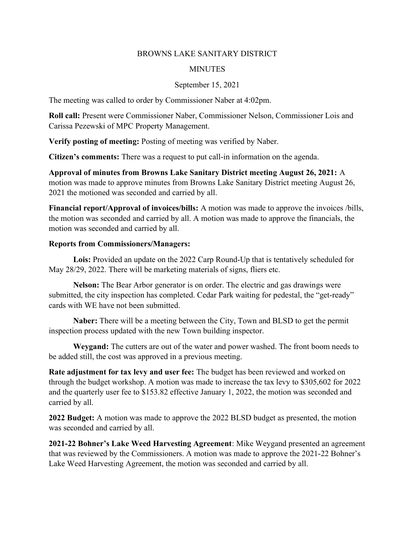## BROWNS LAKE SANITARY DISTRICT

## **MINUTES**

## September 15, 2021

The meeting was called to order by Commissioner Naber at 4:02pm.

Roll call: Present were Commissioner Naber, Commissioner Nelson, Commissioner Lois and Carissa Pezewski of MPC Property Management.

Verify posting of meeting: Posting of meeting was verified by Naber.

Citizen's comments: There was a request to put call-in information on the agenda.

Approval of minutes from Browns Lake Sanitary District meeting August 26, 2021: A motion was made to approve minutes from Browns Lake Sanitary District meeting August 26, 2021 the motioned was seconded and carried by all.

Financial report/Approval of invoices/bills: A motion was made to approve the invoices /bills, the motion was seconded and carried by all. A motion was made to approve the financials, the motion was seconded and carried by all.

## Reports from Commissioners/Managers:

Lois: Provided an update on the 2022 Carp Round-Up that is tentatively scheduled for May 28/29, 2022. There will be marketing materials of signs, fliers etc.

Nelson: The Bear Arbor generator is on order. The electric and gas drawings were submitted, the city inspection has completed. Cedar Park waiting for pedestal, the "get-ready" cards with WE have not been submitted.

Naber: There will be a meeting between the City, Town and BLSD to get the permit inspection process updated with the new Town building inspector.

Weygand: The cutters are out of the water and power washed. The front boom needs to be added still, the cost was approved in a previous meeting.

Rate adjustment for tax levy and user fee: The budget has been reviewed and worked on through the budget workshop. A motion was made to increase the tax levy to \$305,602 for 2022 and the quarterly user fee to \$153.82 effective January 1, 2022, the motion was seconded and carried by all.

2022 Budget: A motion was made to approve the 2022 BLSD budget as presented, the motion was seconded and carried by all.

2021-22 Bohner's Lake Weed Harvesting Agreement: Mike Weygand presented an agreement that was reviewed by the Commissioners. A motion was made to approve the 2021-22 Bohner's Lake Weed Harvesting Agreement, the motion was seconded and carried by all.